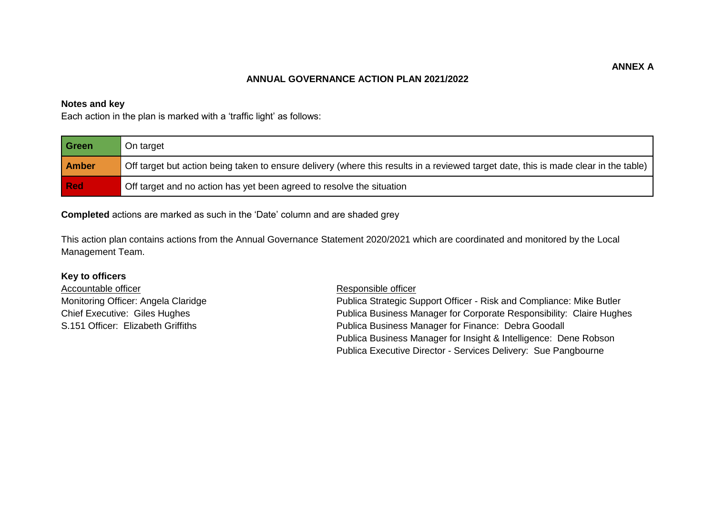## **ANNUAL GOVERNANCE ACTION PLAN 2021/2022**

## **Notes and key**

Each action in the plan is marked with a 'traffic light' as follows:

| l Green      | On target                                                                                                                            |
|--------------|--------------------------------------------------------------------------------------------------------------------------------------|
| <b>Amber</b> | Off target but action being taken to ensure delivery (where this results in a reviewed target date, this is made clear in the table) |
| l Red        | Off target and no action has yet been agreed to resolve the situation                                                                |

**Completed** actions are marked as such in the 'Date' column and are shaded grey

This action plan contains actions from the Annual Governance Statement 2020/2021 which are coordinated and monitored by the Local Management Team.

## **Key to officers**

Accountable officer **Responsible officer** Responsible officer

Monitoring Officer: Angela Claridge **Publica Strategic Support Officer** - Risk and Compliance: Mike Butler Chief Executive: Giles Hughes Publica Business Manager for Corporate Responsibility: Claire Hughes S.151 Officer: Elizabeth Griffiths **Publica Business Manager for Finance: Debra Goodall** Publica Business Manager for Insight & Intelligence: Dene Robson Publica Executive Director - Services Delivery: Sue Pangbourne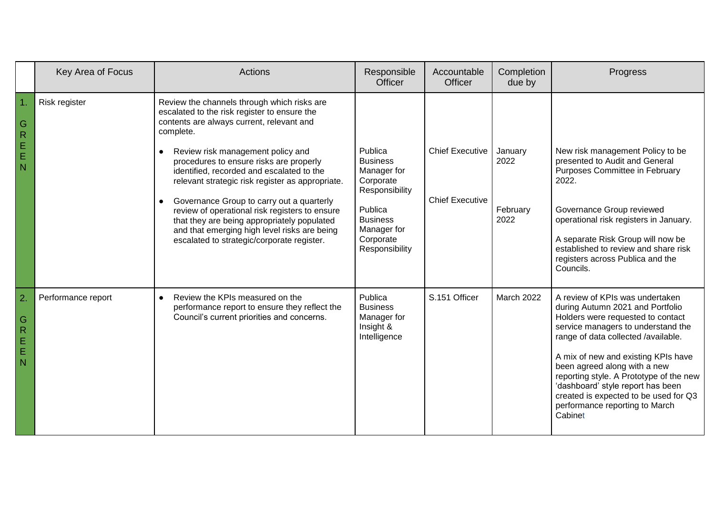|                                                                          | Key Area of Focus  | Actions                                                                                                                                                                                                                                                                                                                                                                                                                                                                                                                                                                                         | Responsible<br>Officer                                                                                                                               | Accountable<br><b>Officer</b>                    | Completion<br>due by                | Progress                                                                                                                                                                                                                                                                                                                                                                                                                           |
|--------------------------------------------------------------------------|--------------------|-------------------------------------------------------------------------------------------------------------------------------------------------------------------------------------------------------------------------------------------------------------------------------------------------------------------------------------------------------------------------------------------------------------------------------------------------------------------------------------------------------------------------------------------------------------------------------------------------|------------------------------------------------------------------------------------------------------------------------------------------------------|--------------------------------------------------|-------------------------------------|------------------------------------------------------------------------------------------------------------------------------------------------------------------------------------------------------------------------------------------------------------------------------------------------------------------------------------------------------------------------------------------------------------------------------------|
| $\mathsf{G}$<br>$\overline{R}$<br>$\mathsf E$<br>$\mathsf E$<br>N        | Risk register      | Review the channels through which risks are<br>escalated to the risk register to ensure the<br>contents are always current, relevant and<br>complete.<br>Review risk management policy and<br>$\bullet$<br>procedures to ensure risks are properly<br>identified, recorded and escalated to the<br>relevant strategic risk register as appropriate.<br>Governance Group to carry out a quarterly<br>review of operational risk registers to ensure<br>that they are being appropriately populated<br>and that emerging high level risks are being<br>escalated to strategic/corporate register. | Publica<br><b>Business</b><br>Manager for<br>Corporate<br>Responsibility<br>Publica<br><b>Business</b><br>Manager for<br>Corporate<br>Responsibility | <b>Chief Executive</b><br><b>Chief Executive</b> | January<br>2022<br>February<br>2022 | New risk management Policy to be<br>presented to Audit and General<br>Purposes Committee in February<br>2022.<br>Governance Group reviewed<br>operational risk registers in January.<br>A separate Risk Group will now be<br>established to review and share risk<br>registers across Publica and the<br>Councils.                                                                                                                 |
| $\overline{2}$<br>G<br>$\overline{R}$<br>$\mathsf E$<br>$\mathsf E$<br>N | Performance report | Review the KPIs measured on the<br>performance report to ensure they reflect the<br>Council's current priorities and concerns.                                                                                                                                                                                                                                                                                                                                                                                                                                                                  | Publica<br><b>Business</b><br>Manager for<br>Insight &<br>Intelligence                                                                               | S.151 Officer                                    | March 2022                          | A review of KPIs was undertaken<br>during Autumn 2021 and Portfolio<br>Holders were requested to contact<br>service managers to understand the<br>range of data collected /available.<br>A mix of new and existing KPIs have<br>been agreed along with a new<br>reporting style. A Prototype of the new<br>'dashboard' style report has been<br>created is expected to be used for Q3<br>performance reporting to March<br>Cabinet |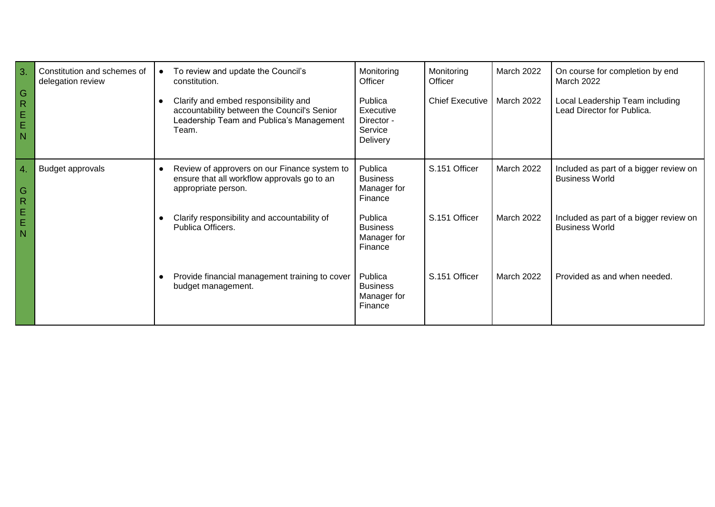| 3.<br>$\overline{\mathsf{G}}$<br>$\overline{R}$<br>$\mathsf E$<br>$\mathsf E$<br>l N | Constitution and schemes of<br>delegation review | To review and update the Council's<br>constitution.<br>Clarify and embed responsibility and<br>accountability between the Council's Senior<br>Leadership Team and Publica's Management<br>Team. | Monitoring<br>Officer<br>Publica<br>Executive<br>Director -<br>Service<br>Delivery                           | Monitoring<br>Officer<br><b>Chief Executive</b> | March 2022<br>March 2022        | On course for completion by end<br>March 2022<br>Local Leadership Team including<br>Lead Director for Publica.                     |
|--------------------------------------------------------------------------------------|--------------------------------------------------|-------------------------------------------------------------------------------------------------------------------------------------------------------------------------------------------------|--------------------------------------------------------------------------------------------------------------|-------------------------------------------------|---------------------------------|------------------------------------------------------------------------------------------------------------------------------------|
| 4.<br>G<br>$\overline{R}$<br>$\frac{1}{2}$<br>$\overline{N}$                         | Budget approvals                                 | Review of approvers on our Finance system to<br>ensure that all workflow approvals go to an<br>appropriate person.<br>Clarify responsibility and accountability of<br>Publica Officers.         | Publica<br><b>Business</b><br>Manager for<br>Finance<br>Publica<br><b>Business</b><br>Manager for<br>Finance | S.151 Officer<br>S.151 Officer                  | March 2022<br><b>March 2022</b> | Included as part of a bigger review on<br><b>Business World</b><br>Included as part of a bigger review on<br><b>Business World</b> |
|                                                                                      |                                                  | Provide financial management training to cover<br>budget management.                                                                                                                            | Publica<br><b>Business</b><br>Manager for<br>Finance                                                         | S.151 Officer                                   | <b>March 2022</b>               | Provided as and when needed.                                                                                                       |